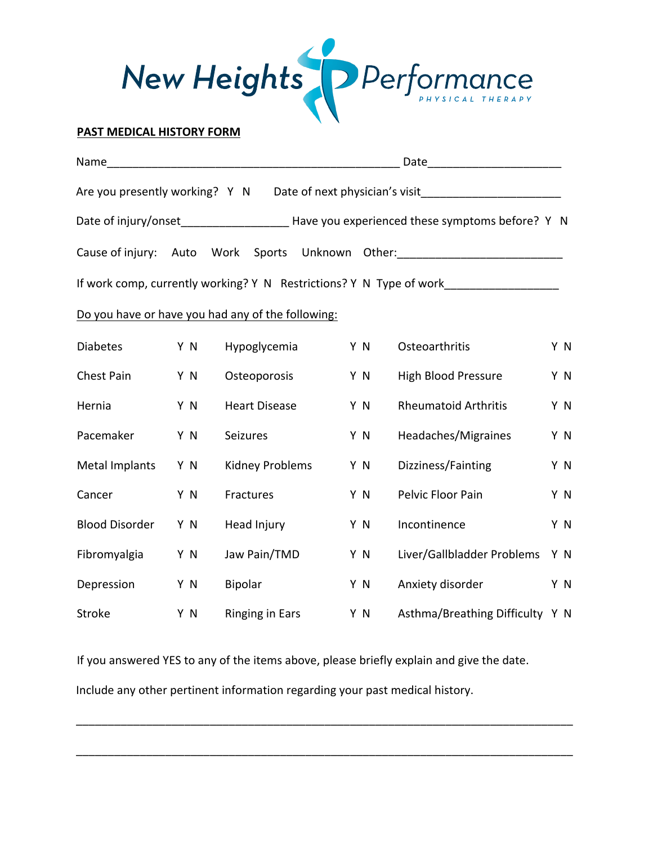

|                                |      |                                                   |                                                                                            | Date_________________________                                       |     |
|--------------------------------|------|---------------------------------------------------|--------------------------------------------------------------------------------------------|---------------------------------------------------------------------|-----|
| Are you presently working? Y N |      |                                                   |                                                                                            | Date of next physician's visit                                      |     |
|                                |      |                                                   | Date of injury/onset_______________________Have you experienced these symptoms before? Y N |                                                                     |     |
| Cause of injury:               | Auto | Work                                              |                                                                                            | Sports Unknown Other: 2000 2010 2020                                |     |
|                                |      |                                                   |                                                                                            | If work comp, currently working? Y N Restrictions? Y N Type of work |     |
|                                |      | Do you have or have you had any of the following: |                                                                                            |                                                                     |     |
| <b>Diabetes</b>                | Y N  | Hypoglycemia                                      | Y N                                                                                        | Osteoarthritis                                                      | Y N |
| <b>Chest Pain</b>              | Y N  | Osteoporosis                                      | Y N                                                                                        | High Blood Pressure                                                 | Y N |
| Hernia                         | Y N  | <b>Heart Disease</b>                              | Y N                                                                                        | <b>Rheumatoid Arthritis</b>                                         | Y N |
| Pacemaker                      | Y N  | Seizures                                          | Y N                                                                                        | Headaches/Migraines                                                 | Y N |
| Metal Implants                 | Y N  | Kidney Problems                                   | Y N                                                                                        | Dizziness/Fainting                                                  | Y N |
| Cancer                         | Y N  | Fractures                                         | Y N                                                                                        | Pelvic Floor Pain                                                   | Y N |
| <b>Blood Disorder</b>          | Y N  | Head Injury                                       | Y N                                                                                        | Incontinence                                                        | Y N |
| Fibromyalgia                   | Y N  | Jaw Pain/TMD                                      | Y N                                                                                        | Liver/Gallbladder Problems                                          | Y N |
| Depression                     | Y N  | <b>Bipolar</b>                                    | Y N                                                                                        | Anxiety disorder                                                    | Y N |
| Stroke                         | Y N  | <b>Ringing in Ears</b>                            | Y N                                                                                        | Asthma/Breathing Difficulty Y N                                     |     |

If you answered YES to any of the items above, please briefly explain and give the date. Include any other pertinent information regarding your past medical history.

\_\_\_\_\_\_\_\_\_\_\_\_\_\_\_\_\_\_\_\_\_\_\_\_\_\_\_\_\_\_\_\_\_\_\_\_\_\_\_\_\_\_\_\_\_\_\_\_\_\_\_\_\_\_\_\_\_\_\_\_\_\_\_\_\_\_\_\_\_\_\_\_\_\_\_\_\_\_

\_\_\_\_\_\_\_\_\_\_\_\_\_\_\_\_\_\_\_\_\_\_\_\_\_\_\_\_\_\_\_\_\_\_\_\_\_\_\_\_\_\_\_\_\_\_\_\_\_\_\_\_\_\_\_\_\_\_\_\_\_\_\_\_\_\_\_\_\_\_\_\_\_\_\_\_\_\_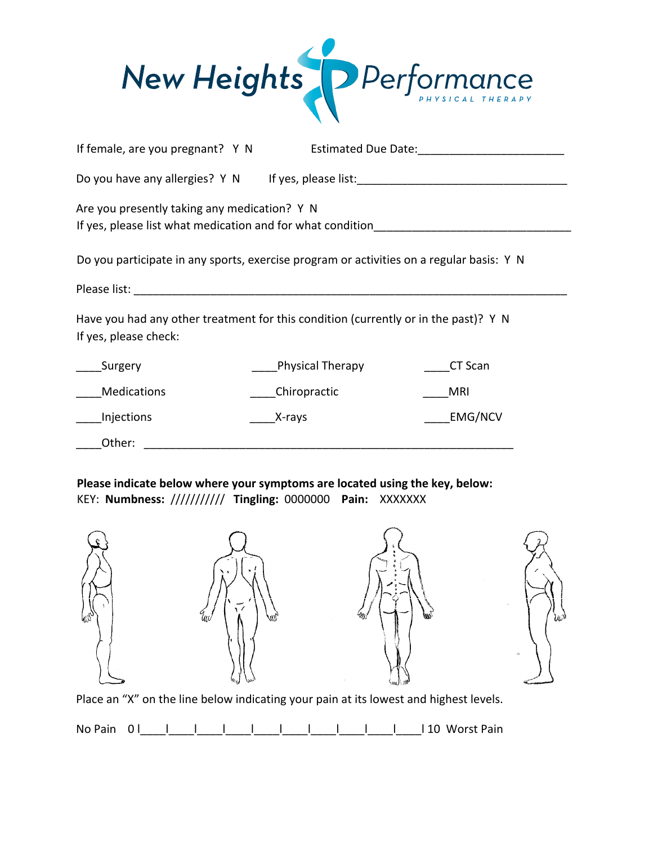

| If female, are you pregnant? Y N                                                                                                  |        |                  |         |  |  |  |  |  |
|-----------------------------------------------------------------------------------------------------------------------------------|--------|------------------|---------|--|--|--|--|--|
| Do you have any allergies? Y N If yes, please list: ____________________________                                                  |        |                  |         |  |  |  |  |  |
| Are you presently taking any medication? Y N<br>If yes, please list what medication and for what condition_______________________ |        |                  |         |  |  |  |  |  |
| Do you participate in any sports, exercise program or activities on a regular basis: Y N                                          |        |                  |         |  |  |  |  |  |
|                                                                                                                                   |        |                  |         |  |  |  |  |  |
| Have you had any other treatment for this condition (currently or in the past)? Y N<br>If yes, please check:                      |        |                  |         |  |  |  |  |  |
| Surgery                                                                                                                           |        | Physical Therapy | CT Scan |  |  |  |  |  |
| <b>Medications</b>                                                                                                                |        | Chiropractic     | MRI     |  |  |  |  |  |
| Injections                                                                                                                        | X-rays |                  | EMG/NCV |  |  |  |  |  |
| Other:                                                                                                                            |        |                  |         |  |  |  |  |  |

## **Please indicate below where your symptoms are located using the key, below:**  KEY: **Numbness:** /////////// **Tingling:** 0000000 **Pain:** XXXXXXX

| o.<br>fil <sub>o</sub> , | $- -$<br>$\overline{\phantom{a}}$<br>$\sim$<br>٠<br>N 5.<br>كالمحاد<br>Uw<br>Щľ | -22<br>$\ddot{\bullet}$<br>۰<br>×<br><b>ARCCHE</b><br>۰<br>۰<br>أبرائكم<br>W | لانغال<br>$\mathfrak{S}$ |
|--------------------------|---------------------------------------------------------------------------------|------------------------------------------------------------------------------|--------------------------|
|                          |                                                                                 |                                                                              |                          |

Place an "X" on the line below indicating your pain at its lowest and highest levels.

No Pain 0 | | | | | | | | | | | | | | 10 Worst Pain